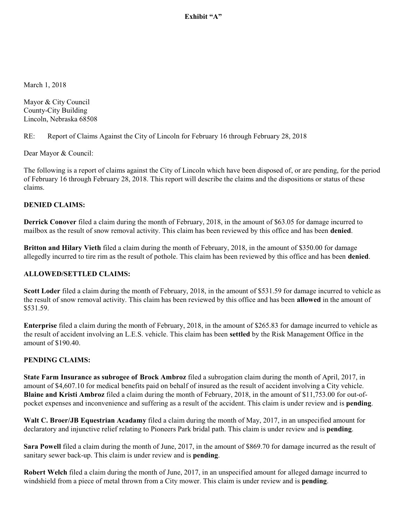Exhibit "A"

March 1, 2018

Mayor & City Council County-City Building Lincoln, Nebraska 68508

RE: Report of Claims Against the City of Lincoln for February 16 through February 28, 2018

Dear Mayor & Council:

The following is a report of claims against the City of Lincoln which have been disposed of, or are pending, for the period of February 16 through February 28, 2018. This report will describe the claims and the dispositions or status of these claims.

### **DENIED CLAIMS:**

**Derrick Conover** filed a claim during the month of February, 2018, in the amount of \$63.05 for damage incurred to mailbox as the result of snow removal activity. This claim has been reviewed by this office and has been **denied**.

**Britton and Hilary Vieth** filed a claim during the month of February, 2018, in the amount of \$350.00 for damage allegedly incurred to tire rim as the result of pothole. This claim has been reviewed by this office and has been **denied**.

### **ALLOWED/SETTLED CLAIMS:**

**Scott Loder** filed a claim during the month of February, 2018, in the amount of \$531.59 for damage incurred to vehicle as the result of snow removal activity. This claim has been reviewed by this office and has been **allowed** in the amount of \$531.59.

**Enterprise** filed a claim during the month of February, 2018, in the amount of \$265.83 for damage incurred to vehicle as the result of accident involving an L.E.S. vehicle. This claim has been **settled** by the Risk Management Office in the amount of \$190.40.

## **PENDING CLAIMS:**

**State Farm Insurance as subrogee of Brock Ambroz** filed a subrogation claim during the month of April, 2017, in amount of \$4,607.10 for medical benefits paid on behalf of insured as the result of accident involving a City vehicle. **Blaine and Kristi Ambroz** filed a claim during the month of February, 2018, in the amount of \$11,753.00 for out-ofpocket expenses and inconvenience and suffering as a result of the accident. This claim is under review and is **pending**.

**Walt C. Broer/JB Equestrian Acadamy** filed a claim during the month of May, 2017, in an unspecified amount for declaratory and injunctive relief relating to Pioneers Park bridal path. This claim is under review and is **pending**.

**Sara Powell** filed a claim during the month of June, 2017, in the amount of \$869.70 for damage incurred as the result of sanitary sewer back-up. This claim is under review and is **pending**.

**Robert Welch** filed a claim during the month of June, 2017, in an unspecified amount for alleged damage incurred to windshield from a piece of metal thrown from a City mower. This claim is under review and is **pending**.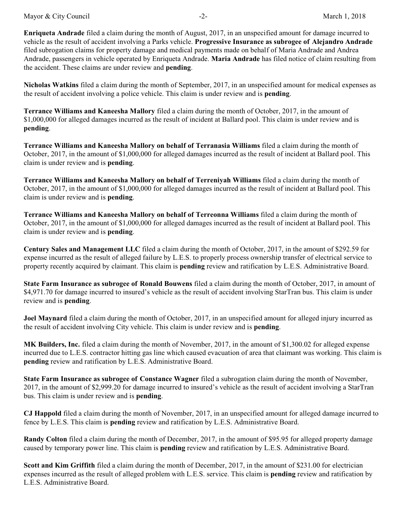Mayor & City Council **and Council**  $-2$ -  $\blacksquare$  March 1, 2018

**Enriqueta Andrade** filed a claim during the month of August, 2017, in an unspecified amount for damage incurred to vehicle as the result of accident involving a Parks vehicle. **Progressive Insurance as subrogee of Alejandro Andrade** filed subrogation claims for property damage and medical payments made on behalf of Maria Andrade and Andrea Andrade, passengers in vehicle operated by Enriqueta Andrade. **Maria Andrade** has filed notice of claim resulting from the accident. These claims are under review and **pending**.

**Nicholas Watkins** filed a claim during the month of September, 2017, in an unspecified amount for medical expenses as the result of accident involving a police vehicle. This claim is under review and is **pending**.

**Terrance Williams and Kaneesha Mallory** filed a claim during the month of October, 2017, in the amount of \$1,000,000 for alleged damages incurred as the result of incident at Ballard pool. This claim is under review and is **pending**.

**Terrance Williams and Kaneesha Mallory on behalf of Terranasia Williams** filed a claim during the month of October, 2017, in the amount of \$1,000,000 for alleged damages incurred as the result of incident at Ballard pool. This claim is under review and is **pending**.

**Terrance Williams and Kaneesha Mallory on behalf of Terreniyah Williams** filed a claim during the month of October, 2017, in the amount of \$1,000,000 for alleged damages incurred as the result of incident at Ballard pool. This claim is under review and is **pending**.

**Terrance Williams and Kaneesha Mallory on behalf of Terreonna Williams** filed a claim during the month of October, 2017, in the amount of \$1,000,000 for alleged damages incurred as the result of incident at Ballard pool. This claim is under review and is **pending**.

**Century Sales and Management LLC** filed a claim during the month of October, 2017, in the amount of \$292.59 for expense incurred as the result of alleged failure by L.E.S. to properly process ownership transfer of electrical service to property recently acquired by claimant. This claim is **pending** review and ratification by L.E.S. Administrative Board.

**State Farm Insurance as subrogee of Ronald Bouwens** filed a claim during the month of October, 2017, in amount of \$4,971.70 for damage incurred to insured's vehicle as the result of accident involving StarTran bus. This claim is under review and is **pending**.

**Joel Maynard** filed a claim during the month of October, 2017, in an unspecified amount for alleged injury incurred as the result of accident involving City vehicle. This claim is under review and is **pending**.

**MK Builders, Inc.** filed a claim during the month of November, 2017, in the amount of \$1,300.02 for alleged expense incurred due to L.E.S. contractor hitting gas line which caused evacuation of area that claimant was working. This claim is **pending** review and ratification by L.E.S. Administrative Board.

**State Farm Insurance as subrogee of Constance Wagner** filed a subrogation claim during the month of November, 2017, in the amount of \$2,999.20 for damage incurred to insured's vehicle as the result of accident involving a StarTran bus. This claim is under review and is **pending**.

**CJ Happold** filed a claim during the month of November, 2017, in an unspecified amount for alleged damage incurred to fence by L.E.S. This claim is **pending** review and ratification by L.E.S. Administrative Board.

**Randy Colton** filed a claim during the month of December, 2017, in the amount of \$95.95 for alleged property damage caused by temporary power line. This claim is **pending** review and ratification by L.E.S. Administrative Board.

**Scott and Kim Griffith** filed a claim during the month of December, 2017, in the amount of \$231.00 for electrician expenses incurred as the result of alleged problem with L.E.S. service. This claim is **pending** review and ratification by L.E.S. Administrative Board.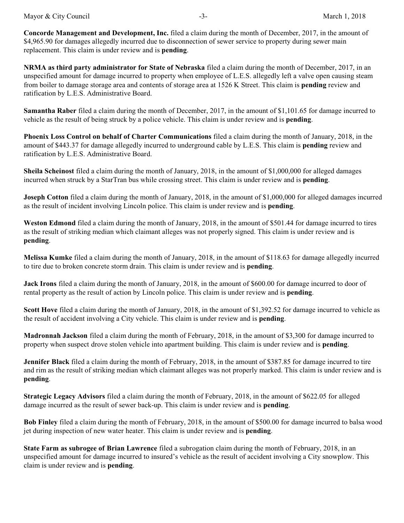**Concorde Management and Development, Inc.** filed a claim during the month of December, 2017, in the amount of \$4,965.90 for damages allegedly incurred due to disconnection of sewer service to property during sewer main replacement. This claim is under review and is **pending**.

**NRMA as third party administrator for State of Nebraska** filed a claim during the month of December, 2017, in an unspecified amount for damage incurred to property when employee of L.E.S. allegedly left a valve open causing steam from boiler to damage storage area and contents of storage area at 1526 K Street. This claim is **pending** review and ratification by L.E.S. Administrative Board.

**Samantha Raber** filed a claim during the month of December, 2017, in the amount of \$1,101.65 for damage incurred to vehicle as the result of being struck by a police vehicle. This claim is under review and is **pending**.

**Phoenix Loss Control on behalf of Charter Communications** filed a claim during the month of January, 2018, in the amount of \$443.37 for damage allegedly incurred to underground cable by L.E.S. This claim is **pending** review and ratification by L.E.S. Administrative Board.

**Sheila Scheinost** filed a claim during the month of January, 2018, in the amount of \$1,000,000 for alleged damages incurred when struck by a StarTran bus while crossing street. This claim is under review and is **pending**.

**Joseph Cotton** filed a claim during the month of January, 2018, in the amount of \$1,000,000 for alleged damages incurred as the result of incident involving Lincoln police. This claim is under review and is **pending**.

**Weston Edmond** filed a claim during the month of January, 2018, in the amount of \$501.44 for damage incurred to tires as the result of striking median which claimant alleges was not properly signed. This claim is under review and is **pending**.

**Melissa Kumke** filed a claim during the month of January, 2018, in the amount of \$118.63 for damage allegedly incurred to tire due to broken concrete storm drain. This claim is under review and is **pending**.

**Jack Irons** filed a claim during the month of January, 2018, in the amount of \$600.00 for damage incurred to door of rental property as the result of action by Lincoln police. This claim is under review and is **pending**.

**Scott Hove** filed a claim during the month of January, 2018, in the amount of \$1,392.52 for damage incurred to vehicle as the result of accident involving a City vehicle. This claim is under review and is **pending**.

**Madronnah Jackson** filed a claim during the month of February, 2018, in the amount of \$3,300 for damage incurred to property when suspect drove stolen vehicle into apartment building. This claim is under review and is **pending**.

**Jennifer Black** filed a claim during the month of February, 2018, in the amount of \$387.85 for damage incurred to tire and rim as the result of striking median which claimant alleges was not properly marked. This claim is under review and is **pending**.

**Strategic Legacy Advisors** filed a claim during the month of February, 2018, in the amount of \$622.05 for alleged damage incurred as the result of sewer back-up. This claim is under review and is **pending**.

**Bob Finley** filed a claim during the month of February, 2018, in the amount of \$500.00 for damage incurred to balsa wood jet during inspection of new water heater. This claim is under review and is **pending**.

**State Farm as subrogee of Brian Lawrence** filed a subrogation claim during the month of February, 2018, in an unspecified amount for damage incurred to insured's vehicle as the result of accident involving a City snowplow. This claim is under review and is **pending**.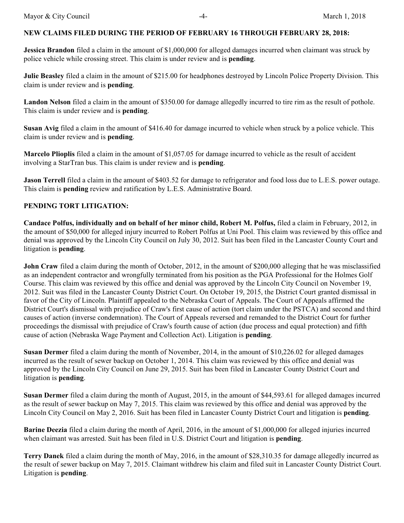# **NEW CLAIMS FILED DURING THE PERIOD OF FEBRUARY 16 THROUGH FEBRUARY 28, 2018:**

**Jessica Brandon** filed a claim in the amount of \$1,000,000 for alleged damages incurred when claimant was struck by police vehicle while crossing street. This claim is under review and is **pending**.

**Julie Beasley** filed a claim in the amount of \$215.00 for headphones destroyed by Lincoln Police Property Division. This claim is under review and is **pending**.

**Landon Nelson** filed a claim in the amount of \$350.00 for damage allegedly incurred to tire rim as the result of pothole. This claim is under review and is **pending**.

**Susan Avig** filed a claim in the amount of \$416.40 for damage incurred to vehicle when struck by a police vehicle. This claim is under review and is **pending**.

**Marcelo Plioplis** filed a claim in the amount of \$1,057.05 for damage incurred to vehicle as the result of accident involving a StarTran bus. This claim is under review and is **pending**.

**Jason Terrell** filed a claim in the amount of \$403.52 for damage to refrigerator and food loss due to L.E.S. power outage. This claim is **pending** review and ratification by L.E.S. Administrative Board.

# **PENDING TORT LITIGATION:**

**Candace Polfus, individually and on behalf of her minor child, Robert M. Polfus,** filed a claim in February, 2012, in the amount of \$50,000 for alleged injury incurred to Robert Polfus at Uni Pool. This claim was reviewed by this office and denial was approved by the Lincoln City Council on July 30, 2012. Suit has been filed in the Lancaster County Court and litigation is **pending**.

**John Craw** filed a claim during the month of October, 2012, in the amount of \$200,000 alleging that he was misclassified as an independent contractor and wrongfully terminated from his position as the PGA Professional for the Holmes Golf Course. This claim was reviewed by this office and denial was approved by the Lincoln City Council on November 19, 2012. Suit was filed in the Lancaster County District Court. On October 19, 2015, the District Court granted dismissal in favor of the City of Lincoln. Plaintiff appealed to the Nebraska Court of Appeals. The Court of Appeals affirmed the District Court's dismissal with prejudice of Craw's first cause of action (tort claim under the PSTCA) and second and third causes of action (inverse condemnation). The Court of Appeals reversed and remanded to the District Court for further proceedings the dismissal with prejudice of Craw's fourth cause of action (due process and equal protection) and fifth cause of action (Nebraska Wage Payment and Collection Act). Litigation is **pending**.

**Susan Dermer** filed a claim during the month of November, 2014, in the amount of \$10,226.02 for alleged damages incurred as the result of sewer backup on October 1, 2014. This claim was reviewed by this office and denial was approved by the Lincoln City Council on June 29, 2015. Suit has been filed in Lancaster County District Court and litigation is **pending**.

**Susan Dermer** filed a claim during the month of August, 2015, in the amount of \$44,593.61 for alleged damages incurred as the result of sewer backup on May 7, 2015. This claim was reviewed by this office and denial was approved by the Lincoln City Council on May 2, 2016. Suit has been filed in Lancaster County District Court and litigation is **pending**.

**Barine Deezia** filed a claim during the month of April, 2016, in the amount of \$1,000,000 for alleged injuries incurred when claimant was arrested. Suit has been filed in U.S. District Court and litigation is **pending**.

**Terry Danek** filed a claim during the month of May, 2016, in the amount of \$28,310.35 for damage allegedly incurred as the result of sewer backup on May 7, 2015. Claimant withdrew his claim and filed suit in Lancaster County District Court. Litigation is **pending**.